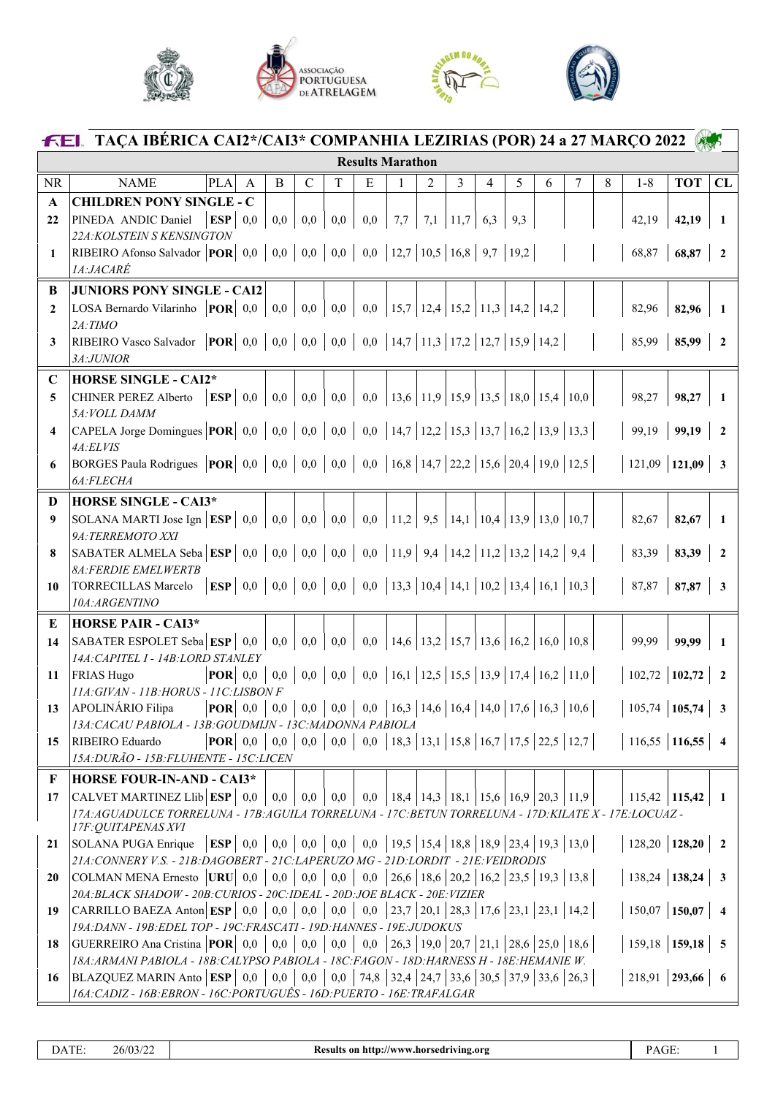





| <b>FEL TAÇA IBÉRICA CAI2*/CAI3* COMPANHIA LEZIRIAS (POR) 24 a 27 MARÇO 2022</b> |                                                                                                                                                                                                          |                                                                                           |              |     |                        |     |                          |                                                                                                                                                                                                                                                                                                                                                               |   |                  |   |     |   |   |   |                       |                      |                          |
|---------------------------------------------------------------------------------|----------------------------------------------------------------------------------------------------------------------------------------------------------------------------------------------------------|-------------------------------------------------------------------------------------------|--------------|-----|------------------------|-----|--------------------------|---------------------------------------------------------------------------------------------------------------------------------------------------------------------------------------------------------------------------------------------------------------------------------------------------------------------------------------------------------------|---|------------------|---|-----|---|---|---|-----------------------|----------------------|--------------------------|
| <b>Results Marathon</b>                                                         |                                                                                                                                                                                                          |                                                                                           |              |     |                        |     |                          |                                                                                                                                                                                                                                                                                                                                                               |   |                  |   |     |   |   |   |                       |                      |                          |
| <b>NR</b>                                                                       | <b>NAME</b>                                                                                                                                                                                              | PLA                                                                                       | $\mathsf{A}$ | B   | $\mathcal{C}$          | T   | E                        | 1                                                                                                                                                                                                                                                                                                                                                             | 2 | 3                | 4 | 5   | 6 | 7 | 8 | $1 - 8$               | <b>TOT</b>           | CL                       |
| $\mathbf{A}$                                                                    | <b>CHILDREN PONY SINGLE - C</b>                                                                                                                                                                          |                                                                                           |              |     |                        |     |                          |                                                                                                                                                                                                                                                                                                                                                               |   |                  |   |     |   |   |   |                       |                      |                          |
| 22                                                                              | PINEDA ANDIC Daniel                                                                                                                                                                                      | ESP   0,0                                                                                 |              | 0,0 | 0,0                    | 0,0 | 0,0                      | 7,7                                                                                                                                                                                                                                                                                                                                                           |   | 7,1   11,7   6,3 |   | 9,3 |   |   |   | 42,19                 | 42,19                | $\mathbf{1}$             |
|                                                                                 | 22A: KOLSTEIN S KENSINGTON<br>RIBEIRO Afonso Salvador <b>POR</b>   0,0   0,0   0,0   0,0   0,0   12,7   10,5   16,8   9,7   19,2                                                                         |                                                                                           |              |     |                        |     |                          |                                                                                                                                                                                                                                                                                                                                                               |   |                  |   |     |   |   |   | 68,87                 | 68,87                |                          |
| 1                                                                               | <i><b>1A:JACARÉ</b></i>                                                                                                                                                                                  |                                                                                           |              |     |                        |     |                          |                                                                                                                                                                                                                                                                                                                                                               |   |                  |   |     |   |   |   |                       |                      | $\overline{2}$           |
| B                                                                               | <b>JUNIORS PONY SINGLE - CAI2</b>                                                                                                                                                                        |                                                                                           |              |     |                        |     |                          |                                                                                                                                                                                                                                                                                                                                                               |   |                  |   |     |   |   |   |                       |                      |                          |
| $\mathbf{2}$                                                                    | LOSA Bernardo Vilarinho $ POR $ 0,0                                                                                                                                                                      |                                                                                           |              | 0,0 | 0,0                    | 0,0 | $\vert 0,0 \vert$        | $\vert 15,7 \vert 12,4 \vert 15,2 \vert 11,3 \vert 14,2 \vert 14,2 \vert 14,2 \vert 14,2 \vert 14,2 \vert 14,2 \vert 14,2 \vert 14,2 \vert 14,2 \vert 14,2 \vert 14,2 \vert 14,2 \vert 14,2 \vert 14,2 \vert 14,2 \vert 14,2 \vert 14,2 \vert 14,2 \vert 14,2 \vert 14,2 \vert 14,2 \vert 14,2 \vert 14,2 \vert 14,2 \vert 14,2 \vert 14,2 \vert 14,2 \vert $ |   |                  |   |     |   |   |   | 82,96                 | 82,96                | $\mathbf{1}$             |
|                                                                                 | $2A$ : TIMO                                                                                                                                                                                              |                                                                                           |              |     |                        |     |                          |                                                                                                                                                                                                                                                                                                                                                               |   |                  |   |     |   |   |   |                       |                      |                          |
| 3                                                                               | RIBEIRO Vasco Salvador   <b>POR</b>   0,0   0,0   0,0   0,0   0,0   14,7   11,3   17,2   12,7   15,9   14,2                                                                                              |                                                                                           |              |     |                        |     |                          |                                                                                                                                                                                                                                                                                                                                                               |   |                  |   |     |   |   |   | 85,99                 | 85,99                | $\overline{2}$           |
|                                                                                 | 3A:JUNIOR                                                                                                                                                                                                |                                                                                           |              |     |                        |     |                          |                                                                                                                                                                                                                                                                                                                                                               |   |                  |   |     |   |   |   |                       |                      |                          |
| $\mathbf C$                                                                     | <b>HORSE SINGLE - CAI2*</b>                                                                                                                                                                              |                                                                                           |              |     |                        |     |                          |                                                                                                                                                                                                                                                                                                                                                               |   |                  |   |     |   |   |   |                       |                      |                          |
| 5                                                                               | CHINER PEREZ Alberto<br>5A: VOLL DAMM                                                                                                                                                                    | $\mathbf{ESP} \mid 0.0$                                                                   |              | 0,0 | 0,0                    | 0,0 | $\vert 0,0 \vert$        | $\vert 13,6 \vert 11,9 \vert 15,9 \vert 13,5 \vert 18,0 \vert 15,4 \vert 10,0$                                                                                                                                                                                                                                                                                |   |                  |   |     |   |   |   | 98,27                 | 98,27                | -1                       |
| $\overline{\mathbf{4}}$                                                         | CAPELA Jorge Domingues $ POR $ 0,0   0,0   0,0   0,0   0,0   14,7   12,2   15,3   13,7   16,2   13,9   13,3                                                                                              |                                                                                           |              |     |                        |     |                          |                                                                                                                                                                                                                                                                                                                                                               |   |                  |   |     |   |   |   |                       | $99,19$   99,19      | $\overline{2}$           |
|                                                                                 | 4A:ELVIS                                                                                                                                                                                                 |                                                                                           |              |     |                        |     |                          |                                                                                                                                                                                                                                                                                                                                                               |   |                  |   |     |   |   |   |                       |                      |                          |
| 6                                                                               | BORGES Paula Rodrigues $ POR $ 0,0   0,0   0,0   0,0   0,0   16,8   14,7   22,2   15,6   20,4   19,0   12,5                                                                                              |                                                                                           |              |     |                        |     |                          |                                                                                                                                                                                                                                                                                                                                                               |   |                  |   |     |   |   |   | $121,09$   121,09     |                      | $\overline{\mathbf{3}}$  |
|                                                                                 | 6A:FLECHA                                                                                                                                                                                                |                                                                                           |              |     |                        |     |                          |                                                                                                                                                                                                                                                                                                                                                               |   |                  |   |     |   |   |   |                       |                      |                          |
| D                                                                               | <b>HORSE SINGLE - CAI3*</b>                                                                                                                                                                              |                                                                                           |              |     |                        |     |                          |                                                                                                                                                                                                                                                                                                                                                               |   |                  |   |     |   |   |   |                       |                      |                          |
| 9                                                                               | SOLANA MARTI Jose Ign   $ESP$   0,0                                                                                                                                                                      |                                                                                           |              |     | $0,0 \,   \, 0,0 \,  $ | 0,0 | $\vert 0,0 \vert$        | 11,2   9,5   14,1   10,4   13,9   13,0   10,7                                                                                                                                                                                                                                                                                                                 |   |                  |   |     |   |   |   | 82,67                 | 82,67                | $\mathbf{1}$             |
| 8                                                                               | 9A: TERREMOTO XXI<br>SABATER ALMELA Seba $\left  \text{ESP} \right $ 0,0                                                                                                                                 |                                                                                           |              |     | $0,0 \,   \, 0,0 \,  $ |     | $0,0 \left  0,0 \right.$ | 11,9   9,4   14,2   11,2   13,2   14,2   9,4                                                                                                                                                                                                                                                                                                                  |   |                  |   |     |   |   |   | 83,39                 | 83,39                | $\overline{2}$           |
|                                                                                 | <b>8A:FERDIE EMELWERTB</b>                                                                                                                                                                               |                                                                                           |              |     |                        |     |                          |                                                                                                                                                                                                                                                                                                                                                               |   |                  |   |     |   |   |   |                       |                      |                          |
| 10                                                                              | <b>TORRECILLAS Marcelo</b>                                                                                                                                                                               | <b>ESP</b>   0,0   0,0   0,0   0,0   0,0   13,3   10,4   14,1   10,2   13,4   16,1   10,3 |              |     |                        |     |                          |                                                                                                                                                                                                                                                                                                                                                               |   |                  |   |     |   |   |   |                       | 87,87   <b>87,87</b> | $\mathbf{3}$             |
|                                                                                 | 10A:ARGENTINO                                                                                                                                                                                            |                                                                                           |              |     |                        |     |                          |                                                                                                                                                                                                                                                                                                                                                               |   |                  |   |     |   |   |   |                       |                      |                          |
| E                                                                               | <b>HORSE PAIR - CAI3*</b>                                                                                                                                                                                |                                                                                           |              |     |                        |     |                          |                                                                                                                                                                                                                                                                                                                                                               |   |                  |   |     |   |   |   |                       |                      |                          |
| 14                                                                              | SABATER ESPOLET Seba $ESP   0,0$                                                                                                                                                                         |                                                                                           |              | 0,0 | 0,0                    | 0,0 | 0,0                      | 14,6   13,2   15,7   13,6   16,2   16,0   10,8                                                                                                                                                                                                                                                                                                                |   |                  |   |     |   |   |   | 99,99                 | 99,99                | 1                        |
| 11                                                                              | 14A: CAPITEL 1 - 14B: LORD STANLEY<br><b>FRIAS Hugo</b>                                                                                                                                                  | $ POR $ 0.0                                                                               |              | 0.0 | 0,0                    |     |                          |                                                                                                                                                                                                                                                                                                                                                               |   |                  |   |     |   |   |   | $102,72$ 102,72       |                      | $\overline{\mathbf{2}}$  |
|                                                                                 | 11A: GIVAN - 11B: HORUS - 11C: LISBON F                                                                                                                                                                  |                                                                                           |              |     |                        |     |                          |                                                                                                                                                                                                                                                                                                                                                               |   |                  |   |     |   |   |   |                       |                      |                          |
|                                                                                 | 13   APOLINÁRIO Filipa                                                                                                                                                                                   | <b>POR</b>   0,0   0,0   0,0   0,0   0,0   16,3   14,6   16,4   14,0   17,6   16,3   10,6 |              |     |                        |     |                          |                                                                                                                                                                                                                                                                                                                                                               |   |                  |   |     |   |   |   | 105,74   105,74   3   |                      |                          |
|                                                                                 | 13A: CACAU PABIOLA - 13B: GOUDMIJN - 13C: MADONNA PABIOLA                                                                                                                                                |                                                                                           |              |     |                        |     |                          |                                                                                                                                                                                                                                                                                                                                                               |   |                  |   |     |   |   |   |                       |                      |                          |
| 15                                                                              | RIBEIRO Eduardo                                                                                                                                                                                          | <b>POR</b>   0,0   0,0   0,0   0,0   0,0   18,3   13,1   15,8   16,7   17,5   22,5   12,7 |              |     |                        |     |                          |                                                                                                                                                                                                                                                                                                                                                               |   |                  |   |     |   |   |   | 116,55   116,55   4   |                      |                          |
|                                                                                 | 15A: DURÃO - 15B: FLUHENTE - 15C: LICEN                                                                                                                                                                  |                                                                                           |              |     |                        |     |                          |                                                                                                                                                                                                                                                                                                                                                               |   |                  |   |     |   |   |   |                       |                      |                          |
| $\mathbf{F}$                                                                    | <b>HORSE FOUR-IN-AND - CAI3*</b><br>$ {\rm CALVET\,MARTINEZ\,Llib} \,{\bf ESP}\, \,\,0.01$                                                                                                               |                                                                                           |              |     | $0,0 \,   \, 0,0 \,  $ |     |                          | $0,0 \mid 0,0 \mid 18,4 \mid 14,3 \mid 18,1 \mid 15,6 \mid 16,9 \mid 20,3 \mid 11,9$                                                                                                                                                                                                                                                                          |   |                  |   |     |   |   |   |                       | $115,42$   115,42    | $\blacksquare$           |
| 17                                                                              | 17A: AGUADULCE TORRELUNA - 17B: AGUILA TORRELUNA - 17C: BETUN TORRELUNA - 17D: KILATE X - 17E: LOCUAZ -                                                                                                  |                                                                                           |              |     |                        |     |                          |                                                                                                                                                                                                                                                                                                                                                               |   |                  |   |     |   |   |   |                       |                      |                          |
|                                                                                 | 17F: QUITAPENAS XVI                                                                                                                                                                                      |                                                                                           |              |     |                        |     |                          |                                                                                                                                                                                                                                                                                                                                                               |   |                  |   |     |   |   |   |                       |                      |                          |
| 21                                                                              | SOLANA PUGA Enrique                                                                                                                                                                                      | <b>ESP</b>   0,0   0,0   0,0   0,0   0,0   19,5   15,4   18,8   18,9   23,4   19,3   13,0 |              |     |                        |     |                          |                                                                                                                                                                                                                                                                                                                                                               |   |                  |   |     |   |   |   | $128,20$   128,20   2 |                      |                          |
|                                                                                 | 21A: CONNERY V.S. - 21B: DAGOBERT - 21C: LAPERUZO MG - 21D: LORDIT - 21E: VEIDRODIS<br>  COLMAN MENA Ernesto   URU   0,0   0,0   0,0   0,0   0,0   26,6   18,6   20,2   16,2   23,5   19,3   13,8        |                                                                                           |              |     |                        |     |                          |                                                                                                                                                                                                                                                                                                                                                               |   |                  |   |     |   |   |   | $138,24$   138,24   3 |                      |                          |
| 20                                                                              | 20A: BLACK SHADOW - 20B: CURIOS - 20C: IDEAL - 20D: JOE BLACK - 20E: VIZIER                                                                                                                              |                                                                                           |              |     |                        |     |                          |                                                                                                                                                                                                                                                                                                                                                               |   |                  |   |     |   |   |   |                       |                      |                          |
| 19                                                                              | CARRILLO BAEZA Anton ESP   0,0   0,0   0,0   0,0   0,0   23,7   20,1   28,3   17,6   23,1   23,1   14,2                                                                                                  |                                                                                           |              |     |                        |     |                          |                                                                                                                                                                                                                                                                                                                                                               |   |                  |   |     |   |   |   | $150,07$   150,07   4 |                      |                          |
|                                                                                 | 19A:DANN - 19B:EDEL TOP - 19C:FRASCATI - 19D:HANNES - 19E:JUDOKUS                                                                                                                                        |                                                                                           |              |     |                        |     |                          |                                                                                                                                                                                                                                                                                                                                                               |   |                  |   |     |   |   |   |                       |                      |                          |
| 18                                                                              | GUERREIRO Ana Cristina   POR   0,0   0,0   0,0   0,0   0,0   26,3   19,0   20,7   21,1   28,6   25,0   18,6                                                                                              |                                                                                           |              |     |                        |     |                          |                                                                                                                                                                                                                                                                                                                                                               |   |                  |   |     |   |   |   | $159,18$   159,18   5 |                      |                          |
| 16                                                                              | 18A: ARMANI PABIOLA - 18B: CALYPSO PABIOLA - 18C: FAGON - 18D: HARNESS H - 18E: HEMANIE W.<br> BLAZQUEZ MARIN Anto   ESP   0,0   0,0   0,0   0,0   74,8   32,4   24,7   33,6   30,5   37,9   33,6   26,3 |                                                                                           |              |     |                        |     |                          |                                                                                                                                                                                                                                                                                                                                                               |   |                  |   |     |   |   |   |                       | 218,91   293,66      | $\overline{\phantom{a}}$ |
|                                                                                 | 16A: CADIZ - 16B: EBRON - 16C: PORTUGUÊS - 16D: PUERTO - 16E: TRAFALGAR                                                                                                                                  |                                                                                           |              |     |                        |     |                          |                                                                                                                                                                                                                                                                                                                                                               |   |                  |   |     |   |   |   |                       |                      |                          |